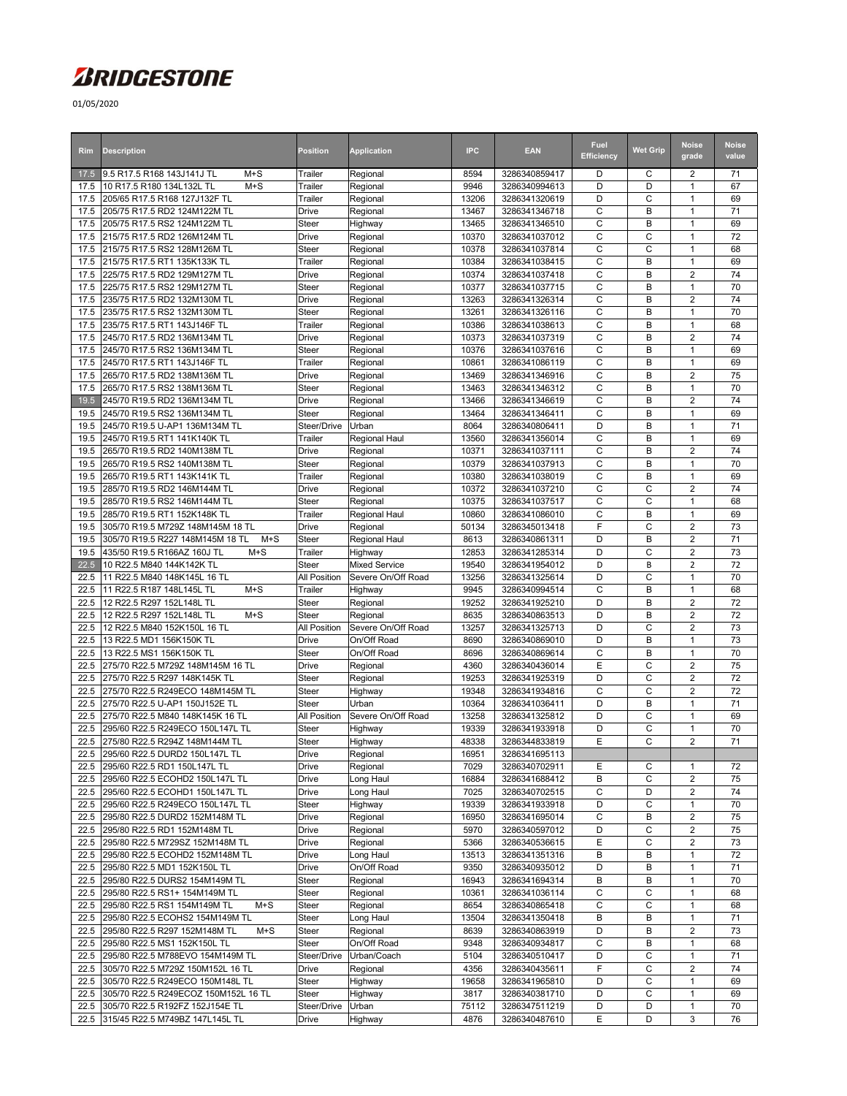## *ARIDGESTONE*

01/05/2020

| Rim          | <b>Description</b>                                                      | Position                     | <b>Application</b>                | <b>IPC</b>     | <b>EAN</b>                     | Fuel<br><b>Efficiency</b> | <b>Wet Grip</b> | <b>Noise</b><br>grade                     | <b>Noise</b><br>value |
|--------------|-------------------------------------------------------------------------|------------------------------|-----------------------------------|----------------|--------------------------------|---------------------------|-----------------|-------------------------------------------|-----------------------|
| 17.5         | 9.5 R17.5 R168 143J141J TL<br>$M+S$                                     | Trailer                      | Regional                          | 8594           | 3286340859417                  | D                         | С               | $\overline{2}$                            | 71                    |
| 17.5<br>17.5 | 10 R17.5 R180 134L132L TL<br>$M+S$<br>205/65 R17.5 R168 127J132F TL     | Trailer<br>Trailer           | Regional                          | 9946<br>13206  | 3286340994613<br>3286341320619 | D<br>D                    | D<br>С          | $\mathbf{1}$<br>$\overline{1}$            | 67<br>69              |
| 17.5         | 205/75 R17.5 RD2 124M122M TL                                            | Drive                        | Regional<br>Regional              | 13467          | 3286341346718                  | $\mathsf{C}$              | B               | $\mathbf{1}$                              | 71                    |
| 17.5         | 205/75 R17.5 RS2 124M122M TL                                            | Steer                        | Highway                           | 13465          | 3286341346510                  | C                         | B               | $\mathbf{1}$                              | 69                    |
| 17.5         | 215/75 R17.5 RD2 126M124M TL                                            | <b>Drive</b>                 | Regional                          | 10370          | 3286341037012                  | $\mathsf{C}$              | C               | $\overline{1}$                            | 72                    |
| 17.5         | 215/75 R17.5 RS2 128M126M TL                                            | Steer                        | Regional                          | 10378          | 3286341037814                  | C                         | С               | $\overline{1}$                            | 68                    |
| 17.5         | 215/75 R17.5 RT1 135K133K TL                                            | Trailer                      | Regional                          | 10384          | 3286341038415                  | $\mathsf{C}$              | B               | $\mathbf{1}$                              | 69                    |
| 17.5         | 225/75 R17.5 RD2 129M127M TL                                            | <b>Drive</b>                 | Regional                          | 10374          | 3286341037418                  | C                         | B               | $\overline{2}$                            | 74                    |
| 17.5         | 225/75 R17.5 RS2 129M127M TL                                            | Steer                        | Regional                          | 10377          | 3286341037715                  | C                         | B               | $\mathbf{1}$                              | 70                    |
| 17.5         | 235/75 R17.5 RD2 132M130M TL                                            | Drive                        | Regional                          | 13263          | 3286341326314                  | C                         | B               | $\overline{2}$                            | 74                    |
| 17.5<br>17.5 | 235/75 R17.5 RS2 132M130M TL<br>235/75 R17.5 RT1 143J146F TL            | Steer<br>Trailer             | Regional<br>Regional              | 13261<br>10386 | 3286341326116<br>3286341038613 | C<br>C                    | B<br>B          | $\mathbf{1}$<br>$\mathbf{1}$              | 70<br>68              |
| 17.5         | 245/70 R17.5 RD2 136M134M TL                                            | Drive                        | Regional                          | 10373          | 3286341037319                  | C                         | В               | $\overline{2}$                            | 74                    |
| 17.5         | 245/70 R17.5 RS2 136M134M TL                                            | Steer                        | Regional                          | 10376          | 3286341037616                  | C                         | В               | $\mathbf{1}$                              | 69                    |
| 17.5         | 245/70 R17.5 RT1 143J146F TL                                            | Trailer                      | Regional                          | 10861          | 3286341086119                  | C                         | В               | $\mathbf{1}$                              | 69                    |
| 17.5         | 265/70 R17.5 RD2 138M136M TL                                            | Drive                        | Regional                          | 13469          | 3286341346916                  | C                         | B               | $\overline{2}$                            | 75                    |
| 17.5         | 265/70 R17.5 RS2 138M136M TL                                            | Steer                        | Regional                          | 13463          | 3286341346312                  | C                         | B               | $\mathbf{1}$                              | 70                    |
| 19.5         | 245/70 R19.5 RD2 136M134M TL                                            | Drive                        | Regional                          | 13466          | 3286341346619                  | C                         | B               | $\overline{2}$                            | 74                    |
| 19.5         | 245/70 R19.5 RS2 136M134M TL                                            | <b>Steer</b>                 | Regional                          | 13464          | 3286341346411                  | $\mathsf{C}$              | B               | $\mathbf{1}$                              | 69                    |
| 19.5         | 245/70 R19.5 U-AP1 136M134M TL                                          | Steer/Drive                  | Urban                             | 8064           | 3286340806411                  | D                         | B               | $\mathbf{1}$                              | 71                    |
| 19.5         | 245/70 R19.5 RT1 141K140K TL                                            | Trailer                      | <b>Regional Haul</b>              | 13560          | 3286341356014                  | C                         | B               | $\mathbf{1}$                              | 69                    |
| 19.5         | 265/70 R19.5 RD2 140M138M TL                                            | <b>Drive</b>                 | Regional                          | 10371          | 3286341037111                  | $\mathsf{C}$              | B               | $\overline{2}$                            | 74                    |
| 19.5         | 265/70 R19.5 RS2 140M138M TL                                            | Steer                        | Regional                          | 10379          | 3286341037913                  | C<br>C                    | B<br>B          | $\mathbf{1}$<br>$\mathbf{1}$              | 70<br>69              |
| 19.5<br>19.5 | 265/70 R19.5 RT1 143K141K TL<br>285/70 R19.5 RD2 146M144M TL            | Trailer<br>Drive             | Regional<br>Regional              | 10380<br>10372 | 3286341038019<br>3286341037210 | C                         | C               | $\overline{2}$                            | 74                    |
| 19.5         | 285/70 R19.5 RS2 146M144M TL                                            | Steer                        | Regional                          | 10375          | 3286341037517                  | $\mathsf{C}$              | C               | $\mathbf{1}$                              | 68                    |
| 19.5         | 285/70 R19.5 RT1 152K148K TL                                            | Trailer                      | Regional Haul                     | 10860          | 3286341086010                  | C                         | В               | $\mathbf{1}$                              | 69                    |
| 19.5         | 305/70 R19.5 M729Z 148M145M 18 TL                                       | Drive                        | Regional                          | 50134          | 3286345013418                  | F                         | C               | $\overline{2}$                            | 73                    |
| 19.5         | 305/70 R19.5 R227 148M145M 18 TL<br>$M+S$                               | Steer                        | Regional Haul                     | 8613           | 3286340861311                  | D                         | B               | $\overline{2}$                            | 71                    |
| 19.5         | 435/50 R19.5 R166AZ 160J TL<br>$M+S$                                    | Trailer                      | Highway                           | 12853          | 3286341285314                  | D                         | C               | $\overline{2}$                            | 73                    |
| 22.5         | 10 R22.5 M840 144K142K TL                                               | Steer                        | <b>Mixed Service</b>              | 19540          | 3286341954012                  | D                         | B               | $\overline{2}$                            | 72                    |
| 22.5         | 11 R22.5 M840 148K145L 16 TL                                            | All Position                 | Severe On/Off Road                | 13256          | 3286341325614                  | D                         | C               | $\mathbf{1}$                              | 70                    |
| 22.5         | $M+S$<br>11 R22.5 R187 148L145L TL                                      | Trailer                      | Highway                           | 9945           | 3286340994514                  | C                         | B               | $\mathbf{1}$                              | 68                    |
| 22.5         | 12 R22.5 R297 152L148L TL                                               | Steer                        | Regional                          | 19252          | 3286341925210                  | D                         | B               | $\overline{2}$                            | 72                    |
| 22.5         | $M+S$<br>12 R22.5 R297 152L148L TL                                      | Steer                        | Regional                          | 8635           | 3286340863513                  | D                         | B               | $\overline{2}$                            | 72                    |
| 22.5<br>22.5 | 12 R22.5 M840 152K150L 16 TL<br>13 R22.5 MD1 156K150K TL                | All Position<br><b>Drive</b> | Severe On/Off Road<br>On/Off Road | 13257<br>8690  | 3286341325713<br>3286340869010 | D<br>D                    | C<br>B          | $\overline{2}$<br>$\mathbf{1}$            | 73<br>73              |
| 22.5         | 13 R22.5 MS1 156K150K TL                                                | <b>Steer</b>                 | On/Off Road                       | 8696           | 3286340869614                  | C                         | B               | $\mathbf{1}$                              | 70                    |
| 22.5         | 275/70 R22.5 M729Z 148M145M 16 TL                                       | Drive                        | Regional                          | 4360           | 3286340436014                  | E                         | С               | $\mathbf 2$                               | 75                    |
| 22.5         | 275/70 R22.5 R297 148K145K TL                                           | Steer                        | Regional                          | 19253          | 3286341925319                  | D                         | C               | $\overline{2}$                            | 72                    |
| 22.5         | 275/70 R22.5 R249ECO 148M145M TL                                        | Steer                        | Highway                           | 19348          | 3286341934816                  | C                         | C               | $\overline{2}$                            | 72                    |
| 22.5         | 275/70 R22.5 U-AP1 150J152E TL                                          | Steer                        | Urban                             | 10364          | 3286341036411                  | D                         | B               | $\mathbf{1}$                              | 71                    |
| 22.5         | 275/70 R22.5 M840 148K145K 16 TL                                        | All Position                 | Severe On/Off Road                | 13258          | 3286341325812                  | D                         | С               | $\mathbf{1}$                              | 69                    |
| 22.5         | 295/60 R22.5 R249ECO 150L147L TL                                        | <b>Steer</b>                 | Highway                           | 19339          | 3286341933918                  | D                         | C               | $\mathbf{1}$                              | 70                    |
| 22.5         | 275/80 R22.5 R294Z 148M144M TL                                          | <b>Steer</b>                 | Highway                           | 48338          | 3286344833819                  | E                         | C               | $\overline{2}$                            | 71                    |
|              | 22.5 295/60 R22.5 DURD2 150L147L TL                                     | Drive                        | Regional                          | 16951          | 3286341695113                  |                           |                 |                                           |                       |
|              | 22.5 295/60 R22.5 RD1 150L147L TL                                       | Drive                        | Regional                          | 7029           | 3286340702911                  | Ε                         | С               | $\mathbf{1}$                              | 72                    |
| 22.5         | 22.5 295/60 R22.5 ECOHD2 150L147L TL<br>295/60 R22.5 ECOHD1 150L147L TL | <b>Drive</b><br>Drive        | Long Haul<br>Long Haul            | 16884<br>7025  | 3286341688412<br>3286340702515 | B<br>C                    | С<br>D          | $\overline{2}$<br>$\overline{\mathbf{c}}$ | 75<br>74              |
| 22.5         | 295/60 R22.5 R249ECO 150L147L TL                                        | Steer                        | Highway                           | 19339          | 3286341933918                  | D                         | C               | $\mathbf{1}$                              | 70                    |
| 22.5         | 295/80 R22.5 DURD2 152M148M TL                                          | Drive                        | Regional                          | 16950          | 3286341695014                  | C                         | В               | $\overline{2}$                            | 75                    |
| 22.5         | 295/80 R22.5 RD1 152M148M TL                                            | Drive                        | Regional                          | 5970           | 3286340597012                  | D                         | С               | 2                                         | 75                    |
| 22.5         | 295/80 R22.5 M729SZ 152M148M TL                                         | Drive                        | Regional                          | 5366           | 3286340536615                  | E                         | С               | $\overline{2}$                            | 73                    |
| 22.5         | 295/80 R22.5 ECOHD2 152M148M TL                                         | Drive                        | Long Haul                         | 13513          | 3286341351316                  | B                         | В               | $\mathbf{1}$                              | 72                    |
| 22.5         | 295/80 R22.5 MD1 152K150L TL                                            | Drive                        | On/Off Road                       | 9350           | 3286340935012                  | D                         | В               | $\mathbf{1}$                              | 71                    |
| 22.5         | 295/80 R22.5 DURS2 154M149M TL                                          | Steer                        | Regional                          | 16943          | 3286341694314                  | B                         | В               | $\mathbf{1}$                              | 70                    |
| 22.5         | 295/80 R22.5 RS1+ 154M149M TL                                           | Steer                        | Regional                          | 10361          | 3286341036114                  | C                         | C               | $\mathbf{1}$                              | 68                    |
| 22.5         | 295/80 R22.5 RS1 154M149M TL<br>$M+S$                                   | <b>Steer</b>                 | Regional                          | 8654           | 3286340865418                  | C                         | С               | $\mathbf{1}$                              | 68                    |
| 22.5         | 295/80 R22.5 ECOHS2 154M149M TL                                         | <b>Steer</b>                 | Long Haul                         | 13504          | 3286341350418                  | B                         | B               | $\mathbf{1}$                              | 71                    |
| 22.5<br>22.5 | 295/80 R22.5 R297 152M148M TL<br>$M+S$<br>295/80 R22.5 MS1 152K150L TL  | Steer<br><b>Steer</b>        | Regional<br>On/Off Road           | 8639<br>9348   | 3286340863919<br>3286340934817 | D<br>C                    | В<br>В          | $\overline{\mathbf{c}}$<br>$\mathbf{1}$   | 73<br>68              |
|              | 22.5 295/80 R22.5 M788EVO 154M149M TL                                   | Steer/Drive                  | Urban/Coach                       | 5104           | 3286340510417                  | D                         | C               | $\mathbf{1}$                              | 71                    |
| 22.5         | 305/70 R22.5 M729Z 150M152L 16 TL                                       | Drive                        | Regional                          | 4356           | 3286340435611                  | F                         | С               | 2                                         | 74                    |
| 22.5         | 305/70 R22.5 R249ECO 150M148L TL                                        | Steer                        | Highway                           | 19658          | 3286341965810                  | D                         | С               | $\mathbf{1}$                              | 69                    |
|              | 22.5 305/70 R22.5 R249ECOZ 150M152L 16 TL                               | <b>Steer</b>                 | Highway                           | 3817           | 3286340381710                  | D                         | С               | $\mathbf{1}$                              | 69                    |
|              | 22.5 305/70 R22.5 R192FZ 152J154E TL                                    | Steer/Drive                  | Urban                             | 75112          | 3286347511219                  | D                         | D               | $\mathbf{1}$                              | 70                    |
|              | 22.5 315/45 R22.5 M749BZ 147L145L TL                                    | Drive                        | Highway                           | 4876           | 3286340487610                  | Ε                         | D               | 3                                         | 76                    |